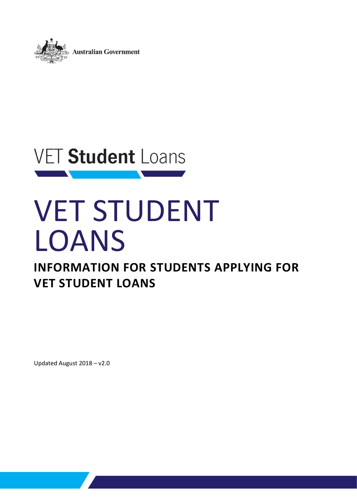

# **VET Student Loans** the control of the control of the control of

# VET STUDENT LOANS

## **INFORMATION FOR STUDENTS APPLYING FOR VET STUDENT LOANS**

Updated August 2018 – v2.0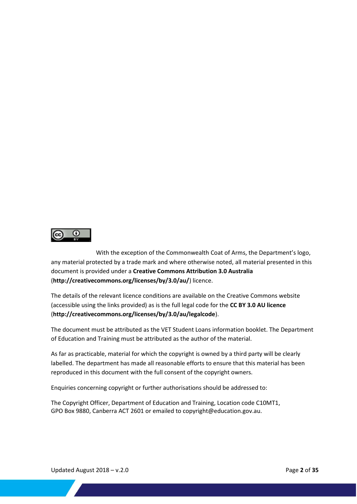

With the exception of the Commonwealth Coat of Arms, the Department's logo, any material protected by a trade mark and where otherwise noted, all material presented in this document is provided under a **[Creative Commons Attribution 3.0 Australia](http://creativecommons.org/licenses/by/3.0/au/)** (**http://creativecommons.org/licenses/by/3.0/au/**) licence.

The details of the relevant licence conditions are available on the Creative Commons website (accessible using the links provided) as is the full legal code for the **[CC BY 3.0 AU licence](http://creativecommons.org/licenses/by/3.0/au/legalcode)** (**http://creativecommons.org/licenses/by/3.0/au/legalcode**).

The document must be attributed as the VET Student Loans information booklet. The Department of Education and Training must be attributed as the author of the material.

As far as practicable, material for which the copyright is owned by a third party will be clearly labelled. The department has made all reasonable efforts to ensure that this material has been reproduced in this document with the full consent of the copyright owners.

Enquiries concerning copyright or further authorisations should be addressed to:

The Copyright Officer, Department of Education and Training, Location code C10MT1, GPO Box 9880, Canberra ACT 2601 or emailed to copyright@education.gov.au.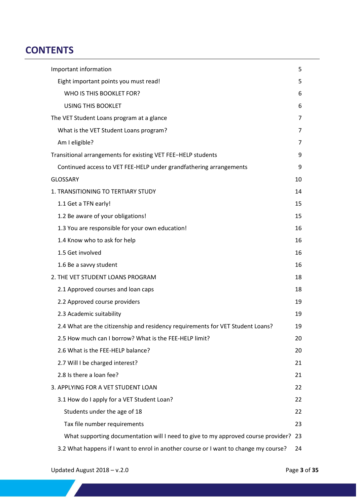## **CONTENTS**

| Important information                                                                | 5              |  |
|--------------------------------------------------------------------------------------|----------------|--|
| Eight important points you must read!                                                | 5              |  |
| WHO IS THIS BOOKLET FOR?                                                             | 6              |  |
| <b>USING THIS BOOKLET</b>                                                            | 6              |  |
| The VET Student Loans program at a glance                                            |                |  |
| What is the VET Student Loans program?                                               | 7              |  |
| Am I eligible?                                                                       | $\overline{7}$ |  |
| Transitional arrangements for existing VET FEE-HELP students                         | 9              |  |
| Continued access to VET FEE-HELP under grandfathering arrangements                   | 9              |  |
| <b>GLOSSARY</b><br>10                                                                |                |  |
| 1. TRANSITIONING TO TERTIARY STUDY                                                   | 14             |  |
| 1.1 Get a TFN early!                                                                 | 15             |  |
| 1.2 Be aware of your obligations!                                                    | 15             |  |
| 1.3 You are responsible for your own education!                                      | 16             |  |
| 1.4 Know who to ask for help                                                         | 16             |  |
| 1.5 Get involved                                                                     | 16             |  |
| 1.6 Be a savvy student                                                               | 16             |  |
| 2. THE VET STUDENT LOANS PROGRAM                                                     | 18             |  |
| 2.1 Approved courses and loan caps                                                   | 18             |  |
| 2.2 Approved course providers                                                        | 19             |  |
| 2.3 Academic suitability                                                             | 19             |  |
| 2.4 What are the citizenship and residency requirements for VET Student Loans?       | 19             |  |
| 2.5 How much can I borrow? What is the FEE-HELP limit?                               | 20             |  |
| 2.6 What is the FEE-HELP balance?                                                    | 20             |  |
| 2.7 Will I be charged interest?                                                      | 21             |  |
| 2.8 Is there a loan fee?                                                             | 21             |  |
| 3. APPLYING FOR A VET STUDENT LOAN                                                   | 22             |  |
| 3.1 How do I apply for a VET Student Loan?                                           | 22             |  |
| Students under the age of 18                                                         | 22             |  |
| Tax file number requirements                                                         | 23             |  |
| What supporting documentation will I need to give to my approved course provider?    | 23             |  |
| 3.2 What happens if I want to enrol in another course or I want to change my course? | 24             |  |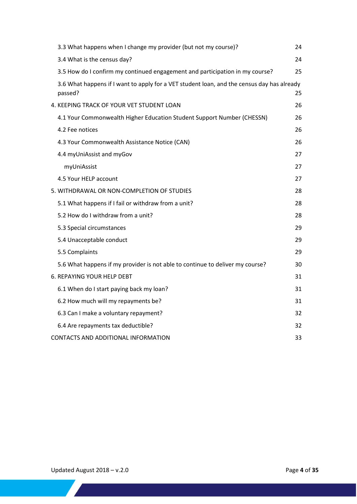|  | 3.3 What happens when I change my provider (but not my course)?                                       | 24 |
|--|-------------------------------------------------------------------------------------------------------|----|
|  | 3.4 What is the census day?                                                                           | 24 |
|  | 3.5 How do I confirm my continued engagement and participation in my course?                          | 25 |
|  | 3.6 What happens if I want to apply for a VET student loan, and the census day has already<br>passed? | 25 |
|  | 4. KEEPING TRACK OF YOUR VET STUDENT LOAN                                                             | 26 |
|  | 4.1 Your Commonwealth Higher Education Student Support Number (CHESSN)                                | 26 |
|  | 4.2 Fee notices                                                                                       | 26 |
|  | 4.3 Your Commonwealth Assistance Notice (CAN)                                                         | 26 |
|  | 4.4 myUniAssist and myGov                                                                             | 27 |
|  | myUniAssist                                                                                           | 27 |
|  | 4.5 Your HELP account                                                                                 | 27 |
|  | 5. WITHDRAWAL OR NON-COMPLETION OF STUDIES                                                            | 28 |
|  | 5.1 What happens if I fail or withdraw from a unit?                                                   | 28 |
|  | 5.2 How do I withdraw from a unit?                                                                    | 28 |
|  | 5.3 Special circumstances                                                                             | 29 |
|  | 5.4 Unacceptable conduct                                                                              | 29 |
|  | 5.5 Complaints                                                                                        | 29 |
|  | 5.6 What happens if my provider is not able to continue to deliver my course?                         | 30 |
|  | 6. REPAYING YOUR HELP DEBT                                                                            | 31 |
|  | 6.1 When do I start paying back my loan?                                                              | 31 |
|  | 6.2 How much will my repayments be?                                                                   | 31 |
|  | 6.3 Can I make a voluntary repayment?                                                                 | 32 |
|  | 6.4 Are repayments tax deductible?                                                                    | 32 |
|  | CONTACTS AND ADDITIONAL INFORMATION                                                                   | 33 |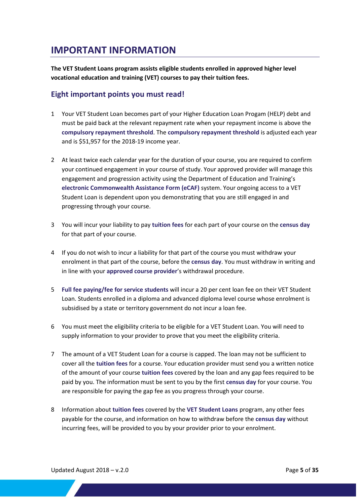## <span id="page-4-0"></span>**IMPORTANT INFORMATION**

**The VET Student Loans program assists eligible students enrolled in approved higher level vocational education and training (VET) courses to pay their tuition fees.**

#### <span id="page-4-1"></span>**Eight important points you must read!**

- 1 Your VET Student Loan becomes part of your Higher Education Loan Progam (HELP) debt and must be paid back at the relevant repayment rate when your repayment income is above the **compulsory repayment threshold**. The **compulsory repayment threshold** is adjusted each year and is \$51,957 for the 2018-19 income year.
- 2 At least twice each calendar year for the duration of your course, you are required to confirm your continued engagement in your course of study. Your approved provider will manage this engagement and progression activity using the Department of Education and Training's **electronic Commonwealth Assistance Form (eCAF)** system. Your ongoing access to a VET Student Loan is dependent upon you demonstrating that you are still engaged in and progressing through your course.
- 3 You will incur your liability to pay **tuition fees** for each part of your course on the **census day** for that part of your course.
- 4 If you do not wish to incur a liability for that part of the course you must withdraw your enrolment in that part of the course, before the **census day**. You must withdraw in writing and in line with your **approved course provider**'s withdrawal procedure.
- 5 **Full fee paying/fee for service students** will incur a 20 per cent loan fee on their VET Student Loan. Students enrolled in a diploma and advanced diploma level course whose enrolment is subsidised by a state or territory government do not incur a loan fee.
- 6 You must meet the eligibility criteria to be eligible for a VET Student Loan. You will need to supply information to your provider to prove that you meet the eligibility criteria.
- 7 The amount of a VET Student Loan for a course is capped. The loan may not be sufficient to cover all the **tuition fees** for a course. Your education provider must send you a written notice of the amount of your course **tuition fees** covered by the loan and any gap fees required to be paid by you. The information must be sent to you by the first **census day** for your course. You are responsible for paying the gap fee as you progress through your course.
- 8 Information about **tuition fees** covered by the **VET Student Loans** program, any other fees payable for the course, and information on how to withdraw before the **census day** without incurring fees, will be provided to you by your provider prior to your enrolment.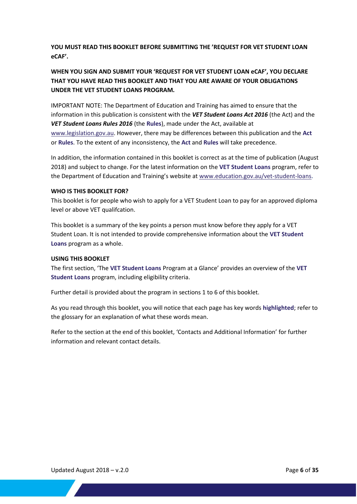**YOU MUST READ THIS BOOKLET BEFORE SUBMITTING THE 'REQUEST FOR VET STUDENT LOAN eCAF'.**

#### **WHEN YOU SIGN AND SUBMIT YOUR 'REQUEST FOR VET STUDENT LOAN eCAF', YOU DECLARE THAT YOU HAVE READ THIS BOOKLET AND THAT YOU ARE AWARE OF YOUR OBLIGATIONS UNDER THE VET STUDENT LOANS PROGRAM.**

IMPORTANT NOTE: The Department of Education and Training has aimed to ensure that the information in this publication is consistent with the *VET Student Loans Act 2016* (the Act) and the *VET Student Loans Rules 2016* (the **Rules**), made under the Act, available at [www.legislation.gov.au.](https://www.legislation.gov.au/) However, there may be differences between this publication and the **Act**  or **Rules**. To the extent of any inconsistency, the **Act** and **Rules** will take precedence.

In addition, the information contained in this booklet is correct as at the time of publication (August 2018) and subject to change. For the latest information on the **VET Student Loans** program, refer to the Department of Education and Training's website at [www.education.gov.au/vet-student-loans.](https://www.education.gov.au/vet-student-loans)

#### <span id="page-5-0"></span>**WHO IS THIS BOOKLET FOR?**

This booklet is for people who wish to apply for a VET Student Loan to pay for an approved diploma level or above VET qualifcation.

This booklet is a summary of the key points a person must know before they apply for a VET Student Loan. It is not intended to provide comprehensive information about the **VET Student Loans** program as a whole.

#### <span id="page-5-1"></span>**USING THIS BOOKLET**

The first section, 'The **VET Student Loans** Program at a Glance' provides an overview of the **VET Student Loans** program, including eligibility criteria.

Further detail is provided about the program in sections 1 to 6 of this booklet.

As you read through this booklet, you will notice that each page has key words **highlighted**; refer to the glossary for an explanation of what these words mean.

Refer to the section at the end of this booklet, 'Contacts and Additional Information' for further information and relevant contact details.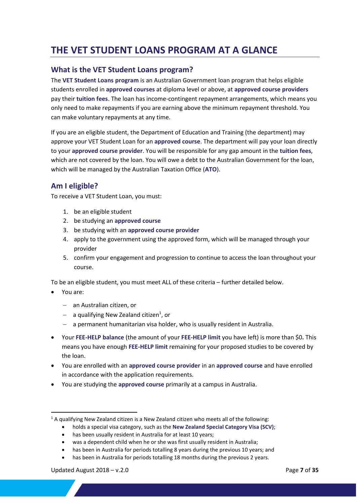## <span id="page-6-0"></span>**THE VET STUDENT LOANS PROGRAM AT A GLANCE**

#### <span id="page-6-1"></span>**What is the VET Student Loans program?**

The **VET Student Loans program** is an Australian Government loan program that helps eligible students enrolled in **approved courses** at diploma level or above, at **approved course providers** pay their **tuition fees**. The loan has income-contingent repayment arrangements, which means you only need to make repayments if you are earning above the minimum repayment threshold. You can make voluntary repayments at any time.

If you are an eligible student, the Department of Education and Training (the department) may approve your VET Student Loan for an **approved course**. The department will pay your loan directly to your **approved course provider**. You will be responsible for any gap amount in the **tuition fees**, which are not covered by the loan. You will owe a debt to the Australian Government for the loan, which will be managed by the Australian Taxation Office (**ATO**).

#### <span id="page-6-2"></span>**Am I eligible?**

To receive a VET Student Loan, you must:

- 1. be an eligible student
- 2. be studying an **approved course**
- 3. be studying with an **approved course provider**
- 4. apply to the government using the approved form, which will be managed through your provider
- 5. confirm your engagement and progression to continue to access the loan throughout your course.

To be an eligible student, you must meet ALL of these criteria – further detailed below.

You are:

-

- an Australian citizen, or
- $-$  a qualifying New Zealand citizen<sup>1</sup>, or
- a permanent humanitarian visa holder, who is usually resident in Australia.
- Your **FEE-HELP balance** (the amount of your **FEE-HELP limit** you have left) is more than \$0**.** This means you have enough **FEE-HELP limit** remaining for your proposed studies to be covered by the loan.
- You are enrolled with an **approved course provider** in an **approved course** and have enrolled in accordance with the application requirements.
- You are studying the **approved course** primarily at a campus in Australia.

has been in Australia for periods totalling 8 years during the previous 10 years; and

<sup>&</sup>lt;sup>1</sup> A qualifying New Zealand citizen is a New Zealand citizen who meets all of the following:

holds a special visa category, such as the **New Zealand Special Category Visa (SCV)**;

has been usually resident in Australia for at least 10 years;

was a dependent child when he or she was first usually resident in Australia;

has been in Australia for periods totalling 18 months during the previous 2 years.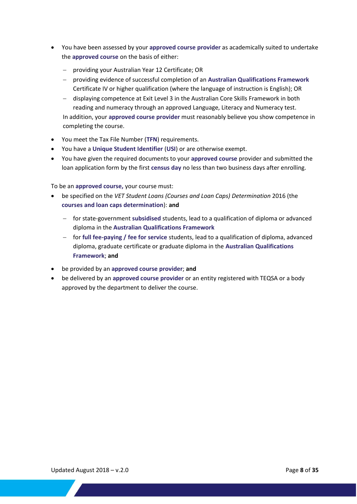- You have been assessed by your **approved course provider** as academically suited to undertake the **approved course** on the basis of either:
	- providing your Australian Year 12 Certificate; OR
	- providing evidence of successful completion of an **Australian Qualifications Framework** Certificate IV or higher qualification (where the language of instruction is English); OR
	- displaying competence at Exit Level 3 in the Australian Core Skills Framework in both reading and numeracy through an approved Language, Literacy and Numeracy test. In addition, your **approved course provider** must reasonably believe you show competence in completing the course.
- You meet the Tax File Number (**TFN**) requirements.
- You have a **Unique Student Identifier** (**USI**) or are otherwise exempt.
- You have given the required documents to your **approved course** provider and submitted the loan application form by the first **census day** no less than two business days after enrolling.

To be an **approved course,** your course must:

- be specified on the *VET Student Loans (Courses and Loan Caps) Determination* 2016 (the **courses and loan caps determination**): **and**
	- for state-government **subsidised** students, lead to a qualification of diploma or advanced diploma in the **Australian Qualifications Framework**
	- for **full fee-paying / fee for service** students, lead to a qualification of diploma, advanced diploma, graduate certificate or graduate diploma in the **Australian Qualifications Framework**; **and**
- be provided by an **approved course provider**; **and**
- be delivered by an **approved course provider** or an entity registered with TEQSA or a body approved by the department to deliver the course.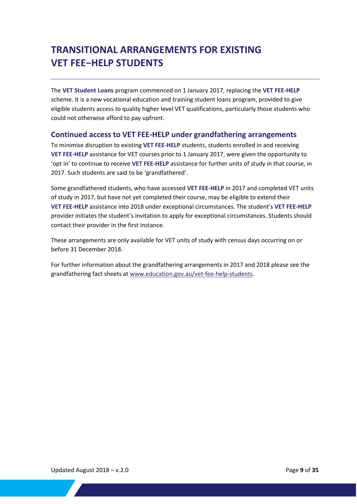## <span id="page-8-0"></span>**TRANSITIONAL ARRANGEMENTS FOR EXISTING VET FEE−HELP STUDENTS**

The **VET Student Loans** program commenced on 1 January 2017, replacing the **VET FEE-HELP** scheme. It is a new vocational education and training student loans program, provided to give eligible students access to quality higher level VET qualifications, particularly those students who could not otherwise afford to pay upfront.

#### <span id="page-8-1"></span>**Continued access to VET FEE-HELP under grandfathering arrangements**

To minimise disruption to existing **VET FEE-HELP** students, students enrolled in and receiving **VET FEE-HELP** assistance for VET courses prior to 1 January 2017, were given the opportunity to 'opt in' to continue to receive **VET FEE-HELP** assistance for further units of study in that course, in 2017. Such students are said to be 'grandfathered'.

Some grandfathered students, who have accessed **VET FEE-HELP** in 2017 and completed VET units of study in 2017, but have not yet completed their course, may be eligible to extend their **VET FEE-HELP** assistance into 2018 under exceptional circumstances. The student's **VET FEE-HELP** provider initiates the student's invitation to apply for exceptional circumstances. Students should contact their provider in the first instance.

These arrangements are only available for VET units of study with census days occurring on or before 31 December 2018.

For further information about the grandfathering arrangements in 2017 and 2018 please see the grandfathering fact sheets a[t www.education.gov.au/vet-fee-help-students.](https://www.education.gov.au/vet-fee-help-students)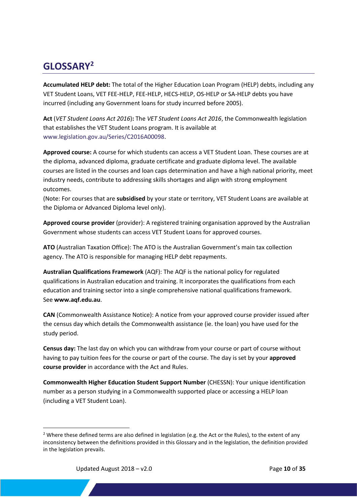## <span id="page-9-0"></span>**GLOSSARY<sup>2</sup>**

**Accumulated HELP debt:** The total of the Higher Education Loan Program (HELP) debts, including any VET Student Loans, VET FEE-HELP, FEE-HELP, HECS-HELP, OS-HELP or SA-HELP debts you have incurred (including any Government loans for study incurred before 2005).

**Act** (*VET Student Loans Act 2016*)**:** The *VET Student Loans Act 2016*, the Commonwealth legislation that establishes the VET Student Loans program. It is available at [www.legislation.gov.au/Series/C2016A00098.](http://www.legislation.gov.au/Series/C2016A00098)

**Approved course:** A course for which students can access a VET Student Loan. These courses are at the diploma, advanced diploma, graduate certificate and graduate diploma level. The available courses are listed in the courses and loan caps determination and have a high national priority, meet industry needs, contribute to addressing skills shortages and align with strong employment outcomes.

(Note: For courses that are **subsidised** by your state or territory, VET Student Loans are available at the Diploma or Advanced Diploma level only).

**Approved course provider** (provider): A registered training organisation approved by the Australian Government whose students can access VET Student Loans for approved courses.

**ATO** (Australian Taxation Office): The ATO is the Australian Government's main tax collection agency. The ATO is responsible for managing HELP debt repayments.

**Australian Qualifications Framework** (AQF): The AQF is the national policy for regulated qualifications in Australian education and training. It incorporates the qualifications from each education and training sector into a single comprehensive national qualifications framework. See **[www.aqf.edu.au](https://www.aqf.edu.au/)**.

**CAN** (Commonwealth Assistance Notice): A notice from your approved course provider issued after the census day which details the Commonwealth assistance (ie. the loan) you have used for the study period.

**Census day:** The last day on which you can withdraw from your course or part of course without having to pay tuition fees for the course or part of the course. The day is set by your **approved course provider** in accordance with the Act and Rules.

**Commonwealth Higher Education Student Support Number** (CHESSN): Your unique identification number as a person studying in a Commonwealth supported place or accessing a HELP loan (including a VET Student Loan).

1

<sup>&</sup>lt;sup>2</sup> Where these defined terms are also defined in legislation (e.g. the Act or the Rules), to the extent of any inconsistency between the definitions provided in this Glossary and in the legislation, the definition provided in the legislation prevails.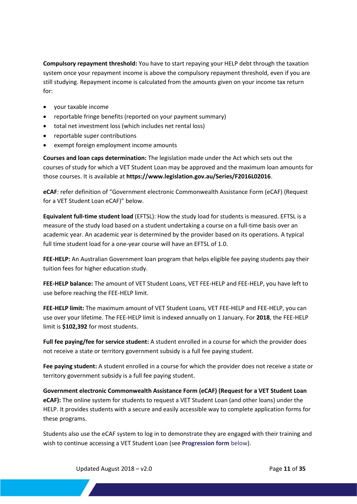**Compulsory repayment threshold:** You have to start repaying your HELP debt through the taxation system once your repayment income is above the compulsory repayment threshold, even if you are still studying. Repayment income is calculated from the amounts given on your income tax return for:

- your taxable income
- reportable fringe benefits (reported on your payment summary)
- total net investment loss (which includes net rental loss)
- reportable super contributions
- exempt foreign employment income amounts

**Courses and loan caps determination:** The legislation made under the Act which sets out the courses of study for which a VET Student Loan may be approved and the maximum loan amounts for those courses. It is available at **<https://www.legislation.gov.au/Series/F2016L02016>**.

**eCAF**: refer definition of "Government electronic Commonwealth Assistance Form (eCAF) (Request for a VET Student Loan eCAF)" below.

**Equivalent full-time student load** (EFTSL): How the study load for students is measured. EFTSL is a measure of the study load based on a student undertaking a course on a full-time basis over an academic year. An academic year is determined by the provider based on its operations. A typical full time student load for a one-year course will have an EFTSL of 1.0.

**FEE-HELP:** An Australian Government loan program that helps eligible fee paying students pay their tuition fees for higher education study.

**FEE-HELP balance:** The amount of VET Student Loans, VET FEE-HELP and FEE-HELP, you have left to use before reaching the FEE-HELP limit.

**FEE-HELP limit:** The maximum amount of VET Student Loans, VET FEE-HELP and FEE-HELP, you can use over your lifetime. The FEE-HELP limit is indexed annually on 1 January. For **2018**, the FEE-HELP limit is **\$102,392** for most students.

**Full fee paying/fee for service student:** A student enrolled in a course for which the provider does not receive a state or territory government subsidy is a full fee paying student.

**Fee paying student:** A student enrolled in a course for which the provider does not receive a state or territory government subsidy is a full fee paying student.

**Government electronic Commonwealth Assistance Form (eCAF) (Request for a VET Student Loan eCAF):** The online system for students to request a VET Student Loan (and other loans) under the HELP. It provides students with a secure and easily accessible way to complete application forms for these programs.

Students also use the eCAF system to log in to demonstrate they are engaged with their training and wish to continue accessing a VET Student Loan (see **Progression form** below).

Updated August 2018 – v2.0 **Page 11** of **35 Page 11** of **35**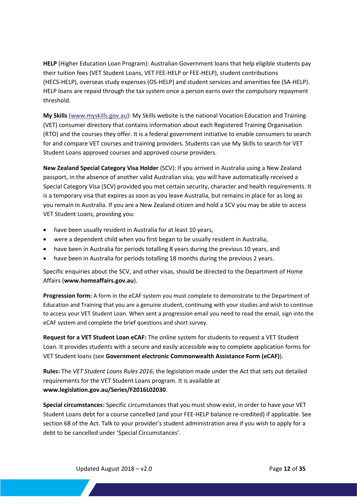**HELP** (Higher Education Loan Program): Australian Government loans that help eligible students pay their tuition fees (VET Student Loans, VET FEE-HELP or FEE-HELP), student contributions (HECS-HELP), overseas study expenses (OS-HELP) and student services and amenities fee (SA-HELP). HELP loans are repaid through the tax system once a person earns over the compulsory repayment threshold.

**My Skills** [\(www.myskills.gov.au\)](https://www.myskills.gov.au/): My Skills website is the national Vocation Education and Training (VET) consumer directory that contains information about each Registered Training Organisation (RTO) and the courses they offer. It is a federal government initiative to enable consumers to search for and compare VET courses and training providers. Students can use My Skills to search for VET Student Loans approved courses and approved course providers.

**New Zealand Special Category Visa Holder** (SCV): If you arrived in Australia using a New Zealand passport, in the absence of another valid Australian visa, you will have automatically received a Special Category Visa (SCV) provided you met certain security, character and health requirements. It is a temporary visa that expires as soon as you leave Australia, but remains in place for as long as you remain in Australia. If you are a New Zealand citizen and hold a SCV you may be able to access VET Student Loans, providing you:

- have been usually resident in Australia for at least 10 years,
- were a dependent child when you first began to be usually resident in Australia,
- have been in Australia for periods totalling 8 years during the previous 10 years, and
- have been in Australia for periods totalling 18 months during the previous 2 years.

Specific enquiries about the SCV, and other visas, should be directed to the Department of Home Affairs (**<www.homeaffairs.gov.au>**).

**Progression form:** A form in the eCAF system you must complete to demonstrate to the Department of Education and Training that you are a genuine student, continuing with your studies and wish to continue to access your VET Student Loan. When sent a progression email you need to read the email, sign into the eCAF system and complete the brief questions and short survey.

**Request for a VET Student Loan eCAF:** The online system for students to request a VET Student Loan. It provides students with a secure and easily accessible way to complete application forms for VET Student loans (see **Government electronic Commonwealth Assistance Form (eCAF)**).

**Rules:** The *VET Student Loans Rules 2016*, the legislation made under the Act that sets out detailed requirements for the VET Student Loans program. It is available at **<www.legislation.gov.au/Series/F2016L02030>**.

**Special circumstances:** Specific circumstances that you must show exist, in order to have your VET Student Loans debt for a course cancelled (and your FEE-HELP balance re-credited) if applicable. See section 68 of the Act. Talk to your provider's student administration area if you wish to apply for a debt to be cancelled under 'Special Circumstances'.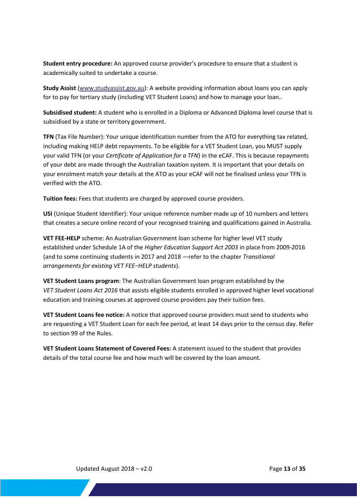**Student entry procedure:** An approved course provider's procedure to ensure that a student is academically suited to undertake a course.

**Study Assist** [\(www.studyassist.gov.au\)](https://www.studyassist.gov.au/): A website providing information about loans you can apply for to pay for tertiary study (including VET Student Loans) and how to manage your loan..

**Subsidised student:** A student who is enrolled in a Diploma or Advanced Diploma level course that is subsidised by a state or territory government.

**TFN** (Tax File Number): Your unique identification number from the ATO for everything tax related, including making HELP debt repayments. To be eligible for a VET Student Loan, you MUST supply your valid TFN (or your *Certificate of Application for a TFN*) in the eCAF. This is because repayments of your debt are made through the Australian taxation system. It is important that your details on your enrolment match your details at the ATO as your eCAF will not be finalised unless your TFN is verified with the ATO.

**Tuition fees:** Fees that students are charged by approved course providers.

**USI** (Unique Student Identifier): Your unique reference number made up of 10 numbers and letters that creates a secure online record of your recognised training and qualifications gained in Australia.

**VET FEE-HELP** scheme: An Australian Government loan scheme for higher level VET study established under Schedule 1A of the *Higher Education Support Act 2003* in place from 2009-2016 (and to some continuing students in 2017 and 2018 —refer to the chapter *Transitional arrangements for existing VET FEE−HELP students*).

**VET Student Loans program**: The Australian Government loan program established by the *VET Student Loans Act 2016* that assists eligible students enrolled in approved higher level vocational education and training courses at approved course providers pay their tuition fees.

**VET Student Loans fee notice:** A notice that approved course providers must send to students who are requesting a VET Student Loan for each fee period, at least 14 days prior to the census day. Refer to section 99 of the Rules.

**VET Student Loans Statement of Covered Fees:** A statement issued to the student that provides details of the total course fee and how much will be covered by the loan amount.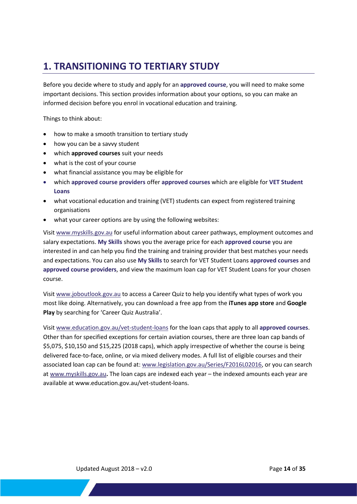## <span id="page-13-0"></span>**1. TRANSITIONING TO TERTIARY STUDY**

Before you decide where to study and apply for an **approved course**, you will need to make some important decisions. This section provides information about your options, so you can make an informed decision before you enrol in vocational education and training.

Things to think about:

- how to make a smooth [transition to tertiary study](http://studyassist.gov.au/sites/StudyAssist/mytertiarystudyoptions/transitioning-to-tertiary-study/pages/transitioning-to-tertiary-study)
- how you can be [a savvy student](http://studyassist.gov.au/sites/studyassist/mytertiarystudyoptions/pages/be_a_savvy_student)
- which **[approved courses](http://www.myskills.gov.au/)** suit your needs
- what is the cost of your course
- what [financial assistance](http://studyassist.gov.au/sites/StudyAssist/MyTertiaryStudyOptions/pages/what-am-i-eligible-for) you may be eligible for
- which **approved course providers** offer **approved courses** which are eligible for **VET Student Loans**
- [what vocational education and training \(VET\) students can expect from registered training](http://studyassist.gov.au/sites/studyassist/mytertiarystudyoptions/pages/what-vet-students-can-expect) organisations
- what your career options are by using the following websites:

Visit [www.myskills.gov.au](http://www.myskills.gov.au/) for useful information about career pathways, employment outcomes and salary expectations. **My Skills** shows you the average price for each **approved course** you are interested in and can help you find the training and training provider that best matches your needs and expectations. You can also use **My Skills** to search for VET Student Loans **approved courses** and **approved course providers**, and view the maximum loan cap for VET Student Loans for your chosen course.

Visit [www.joboutlook.gov.au](http://www.joboutlook.gov.au/careerquiz.aspx) to access a Career Quiz to help you identify what types of work you most like doing. Alternatively, you can download a free app from the **[iTunes app store](https://itunes.apple.com/us/app/career-quiz/id976475019?ls=1&mt=8)** and **[Google](https://play.google.com/store/apps/details?id=au.gov.employment.careerquiz)  [Play](https://play.google.com/store/apps/details?id=au.gov.employment.careerquiz)** by searching for 'Career Quiz Australia'.

Visit [www.education.gov.au/vet-student-loans](http://www.education.gov.au/vet-student-loans) for the loan caps that apply to all **approved courses**. Other than for specified exceptions for certain aviation courses, there are three loan cap bands of \$5,075, \$10,150 and \$15,225 (2018 caps), which apply irrespective of whether the course is being delivered face-to-face, online, or via mixed delivery modes. A full list of eligible courses and their associated loan cap can be found at: [www.legislation.gov.au/Series/F2016L02016,](http://www.legislation.gov.au/Series/F2016L02016) or you can search at [www.myskills.gov.au](http://www.myskills.gov.au/)**.** The loan caps are indexed each year – the indexed amounts each year are available a[t www.education.gov.au/vet-student-loans.](http://www.education.gov.au/vet-student-loans)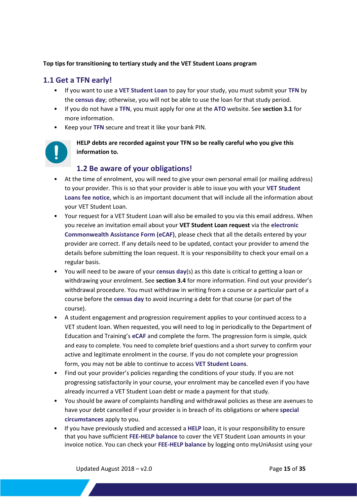#### **Top tips for transitioning to tertiary study and the VET Student Loans program**

#### <span id="page-14-0"></span>**1.1 Get a TFN early!**

- If you want to use a **VET Student Loan** to pay for your study, you must submit your **TFN** by the **census day**; otherwise, you will not be able to use the loan for that study period.
- If you do not have a **TFN**, you must apply for one at the **ATO** website. See **section 3.1** for more information.
- Keep your **TFN** secure and treat it like your bank PIN.



**HELP debts are recorded against your TFN so be really careful who you give this information to.**

#### <span id="page-14-1"></span>**1.2 Be aware of your obligations!**

- At the time of enrolment, you will need to give your own personal email (or mailing address) to your provider. This is so that your provider is able to issue you with your **VET Student Loans fee notice**, which is an important document that will include all the information about your VET Student Loan.
- Your request for a VET Student Loan will also be emailed to you via this email address. When you receive an invitation email about your **VET Student Loan request** via the **electronic Commonwealth Assistance Form (eCAF)**, please check that all the details entered by your provider are correct. If any details need to be updated, contact your provider to amend the details before submitting the loan request. It is your responsibility to check your email on a regular basis.
- You will need to be aware of your **census day**(s) as this date is critical to getting a loan or withdrawing your enrolment. See **section 3.4** for more information. Find out your provider's withdrawal procedure. You must withdraw in writing from a course or a particular part of a course before the **census day** to avoid incurring a debt for that course (or part of the course).
- A student engagement and progression requirement applies to your continued access to a VET student loan. When requested, you will need to log in periodically to the Department of Education and Training's **eCAF** and complete the form. The progression form is simple, quick and easy to complete. You need to complete brief questions and a short survey to confirm your active and legitimate enrolment in the course. If you do not complete your progression form, you may not be able to continue to access **VET Student Loans**.
- Find out your provider's policies regarding the conditions of your study. If you are not progressing satisfactorily in your course, your enrolment may be cancelled even if you have already incurred a VET Student Loan debt or made a payment for that study.
- You should be aware of complaints handling and withdrawal policies as these are avenues to have your debt cancelled if your provider is in breach of its obligations or where **special circumstances** apply to you.
- If you have previously studied and accessed a **HELP** loan, it is your responsibility to ensure that you have sufficient **FEE-HELP balance** to cover the VET Student Loan amounts in your invoice notice. You can check your **FEE-HELP balance** by logging onto myUniAssist using your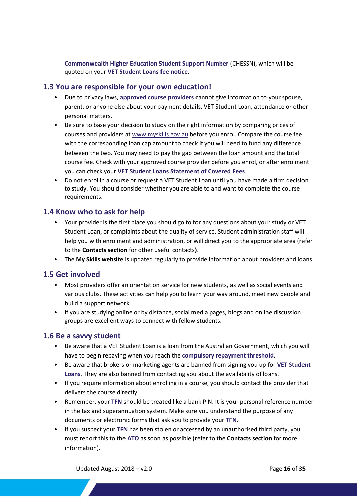**Commonwealth Higher Education Student Support Number** (CHESSN), which will be quoted on your **VET Student Loans fee notice**.

#### <span id="page-15-0"></span>**1.3 You are responsible for your own education!**

- Due to privacy laws, **approved course providers** cannot give information to your spouse, parent, or anyone else about your payment details, VET Student Loan, attendance or other personal matters.
- Be sure to base your decision to study on the right information by comparing prices of courses and providers at [www.myskills.gov.au](http://www.myskills.gov.au/) before you enrol. Compare the course fee with the corresponding loan cap amount to check if you will need to fund any difference between the two. You may need to pay the gap between the loan amount and the total course fee. Check with your approved course provider before you enrol, or after enrolment you can check your **VET Student Loans Statement of Covered Fees**.
- Do not enrol in a course or request a VET Student Loan until you have made a firm decision to study. You should consider whether you are able to and want to complete the course requirements.

#### <span id="page-15-1"></span>**1.4 Know who to ask for help**

- Your provider is the first place you should go to for any questions about your study or VET Student Loan, or complaints about the quality of service. Student administration staff will help you with enrolment and administration, or will direct you to the appropriate area (refer to the **Contacts section** for other useful contacts).
- The **[My Skills website](http://www.myskills.gov.au/)** is updated regularly to provide information about providers and loans.

#### <span id="page-15-2"></span>**1.5 Get involved**

- Most providers offer an orientation service for new students, as well as social events and various clubs. These activities can help you to learn your way around, meet new people and build a support network.
- If you are studying online or by distance, social media pages, blogs and online discussion groups are excellent ways to connect with fellow students.

#### <span id="page-15-3"></span>**1.6 Be a savvy student**

- Be aware that a VET Student Loan is a loan from the Australian Government, which you will have to begin repaying when you reach the **compulsory repayment threshold**.
- Be aware that brokers or marketing agents are banned from signing you up for **VET Student Loans**. They are also banned from contacting you about the availability of loans.
- If you require information about enrolling in a course, you should contact the provider that delivers the course directly.
- Remember, your **TFN** should be treated like a bank PIN. It is your personal reference number in the tax and superannuation system. Make sure you understand the purpose of any documents or electronic forms that ask you to provide your **TFN**.
- If you suspect your **TFN** has been stolen or accessed by an unauthorised third party, you must report this to the **ATO** as soon as possible (refer to the **Contacts section** for more information).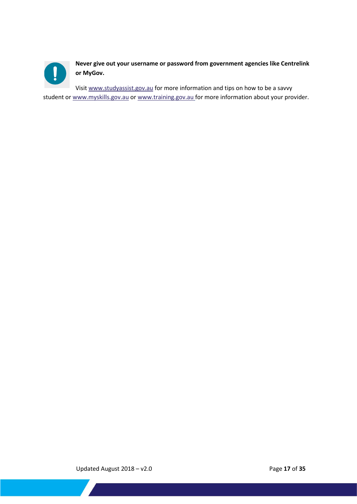

**Never give out your username or password from government agencies like Centrelink or MyGov.**

Visi[t www.studyassist.gov.au](http://www.studyassist.gov.au/) for more information and tips on how to be a savvy student or [www.myskills.gov.au](http://www.myskills.gov.au/) o[r www.training.gov.au](http://www.training.gov.au/) for more information about your provider.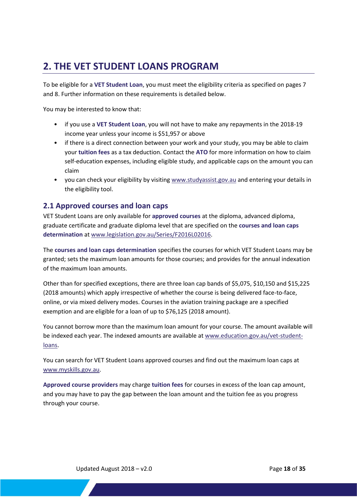## <span id="page-17-0"></span>**2. THE VET STUDENT LOANS PROGRAM**

To be eligible for a **VET Student Loan**, you must meet the eligibility criteria as specified on pages 7 and 8. Further information on these requirements is detailed below.

You may be interested to know that:

- if you use a **VET Student Loan**, you will not have to make any repayments in the 2018-19 income year unless your income is \$51,957 or above
- if there is a direct connection between your work and your study, you may be able to claim your **tuition fees** as a tax deduction. Contact the **ATO** for more information on how to claim self-education expenses, including eligible study, and applicable caps on the amount you can claim
- you can check your eligibility by visiting [www.studyassist.gov.au](http://www.studyassist.gov.au/) and entering your details in the eligibility tool.

#### <span id="page-17-1"></span>**2.1 Approved courses and loan caps**

VET Student Loans are only available for **approved courses** at the diploma, advanced diploma, graduate certificate and graduate diploma level that are specified on the **courses and loan caps determination** at [www.legislation.gov.au/Series/F2016L02016.](https://www.legislation.gov.au/Series/F2016L02016)

The **courses and loan caps determination** specifies the courses for which VET Student Loans may be granted; sets the maximum loan amounts for those courses; and provides for the annual indexation of the maximum loan amounts.

Other than for specified exceptions, there are three loan cap bands of \$5,075, \$10,150 and \$15,225 (2018 amounts) which apply irrespective of whether the course is being delivered face-to-face, online, or via mixed delivery modes. Courses in the aviation training package are a specified exemption and are eligible for a loan of up to \$76,125 (2018 amount).

You cannot borrow more than the maximum loan amount for your course. The amount available will be indexed each year. The indexed amounts are available at [www.education.gov.au/vet-student](http://www.education.gov.au/vet-student-loans)[loans.](http://www.education.gov.au/vet-student-loans)

You can search for VET Student Loans approved courses and find out the maximum loan caps at [www.myskills.gov.au.](http://www.myskills.gov.au/)

**Approved course providers** may charge **tuition fees** for courses in excess of the loan cap amount, and you may have to pay the gap between the loan amount and the tuition fee as you progress through your course.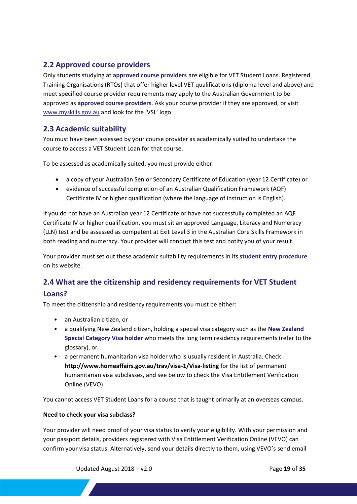#### <span id="page-18-0"></span>**2.2 Approved course providers**

Only students studying at **approved course providers** are eligible for VET Student Loans. Registered Training Organisations (RTOs) that offer higher level VET qualifications (diploma level and above) and meet specified course provider requirements may apply to the Australian Government to be approved as **approved course providers**. Ask your course provider if they are approved, or visit [www.myskills.gov.au](http://www.myskills.gov.au/) and look for the 'VSL' logo.

#### <span id="page-18-1"></span>**2.3 Academic suitability**

You must have been assessed by your course provider as academically suited to undertake the course to access a VET Student Loan for that course.

To be assessed as academically suited, you must provide either:

- a copy of your Australian Senior Secondary Certificate of Education (year 12 Certificate) or
- evidence of successful completion of an Australian Qualification Framework (AQF) Certificate IV or higher qualification (where the language of instruction is English).

If you do not have an Australian year 12 Certificate or have not successfully completed an AQF Certificate IV or higher qualification, you must sit an approved Language, Literacy and Numeracy (LLN) test and be assessed as competent at Exit Level 3 in the Australian Core Skills Framework in both reading and numeracy. Your provider will conduct this test and notify you of your result.

Your provider must set out these academic suitability requirements in its **student entry procedure** on its website.

### <span id="page-18-2"></span>**2.4 What are the citizenship and residency requirements for VET Student Loans?**

To meet the citizenship and residency requirements you must be either:

- an Australian citizen, or
- a qualifying New Zealand citizen, holding a special visa category such as the **New Zealand Special Category Visa holder** who meets the long term residency requirements (refer to the glossary), or
- a permanent humanitarian visa holder who is usually resident in Australia. Check **<http://www.homeaffairs.gov.au/trav/visa-1/Visa-listing>** for the list of permanent humanitarian visa subclasses, and see below to check the Visa Entitlement Verification Online (VEVO).

You cannot access VET Student Loans for a course that is taught primarily at an overseas campus.

#### **Need to check your visa subclass?**

Your provider will need proof of your visa status to verify your eligibility. With your permission and your passport details, providers registered with Visa Entitlement Verification Online (VEVO) can confirm your visa status. Alternatively, send your details directly to them, using VEVO's send email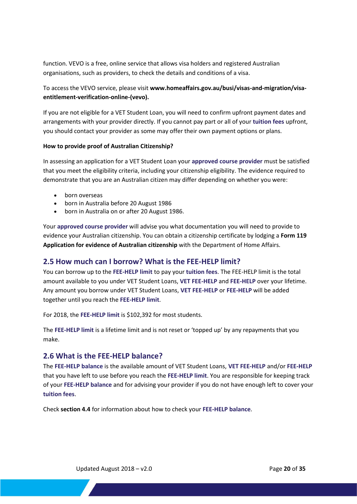function. VEVO is a free, online service that allows visa holders and registered Australian organisations, such as providers, to check the details and conditions of a visa.

#### To access the VEVO service, please visit **[www.homeaffairs.gov.au/busi/visas-and-migration/visa](https://www.homeaffairs.gov.au/busi/visas-and-migration/visa-entitlement-verification-online-(vevo))[entitlement-verification-online-\(vevo\).](https://www.homeaffairs.gov.au/busi/visas-and-migration/visa-entitlement-verification-online-(vevo))**

If you are not eligible for a VET Student Loan, you will need to confirm upfront payment dates and arrangements with your provider directly. If you cannot pay part or all of your **tuition fees** upfront, you should contact your provider as some may offer their own payment options or plans.

#### **How to provide proof of Australian Citizenship?**

In assessing an application for a VET Student Loan your **approved course provider** must be satisfied that you meet the eligibility criteria, including your citizenship eligibility. The evidence required to demonstrate that you are an Australian citizen may differ depending on whether you were:

- born overseas
- born in Australia before 20 August 1986
- born in Australia on or after 20 August 1986.

Your **approved course provider** will advise you what documentation you will need to provide to evidence your Australian citizenship. You can obtain a citizenship certificate by lodging a **[Form 119](https://www.homeaffairs.gov.au/trav/citi/curr/evidence-of-australian-citizenship/apply)  [Application for evidence of Australian citizenship](https://www.homeaffairs.gov.au/trav/citi/curr/evidence-of-australian-citizenship/apply)** with the Department of Home Affairs.

#### <span id="page-19-0"></span>**2.5 How much can I borrow? What is the FEE-HELP limit?**

You can borrow up to the **FEE-HELP limit** to pay your **tuition fees**. The FEE-HELP limit is the total amount available to you under VET Student Loans, **VET FEE-HELP** and **FEE-HELP** over your lifetime. Any amount you borrow under VET Student Loans, **VET FEE-HELP** or **FEE-HELP** will be added together until you reach the **FEE-HELP limit**.

For 2018, the **FEE-HELP limit** is \$102,392 for most students.

The **FEE-HELP limit** is a lifetime limit and is not reset or 'topped up' by any repayments that you make.

#### <span id="page-19-1"></span>**2.6 What is the FEE-HELP balance?**

The **FEE-HELP balance** is the available amount of VET Student Loans, **VET FEE-HELP** and/or **FEE-HELP**  that you have left to use before you reach the **FEE-HELP limit**. You are responsible for keeping track of your **FEE-HELP balance** and for advising your provider if you do not have enough left to cover your **tuition fees**.

Check **section 4.4** for information about how to check your **FEE-HELP balance**.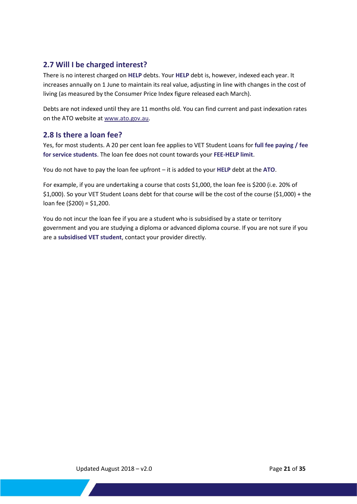#### <span id="page-20-0"></span>**2.7 Will I be charged interest?**

There is no interest charged on **HELP** debts. Your **HELP** debt is, however, indexed each year. It increases annually on 1 June to maintain its real value, adjusting in line with changes in the cost of living (as measured by the Consumer Price Index figure released each March).

Debts are not indexed until they are 11 months old. You can find current and past indexation rates on the ATO website at [www.ato.gov.au.](http://www.ato.gov.au/)

#### <span id="page-20-1"></span>**2.8 Is there a loan fee?**

Yes, for most students. A 20 per cent loan fee applies to VET Student Loans for **full fee paying / fee for service students**. The loan fee does not count towards your **FEE-HELP limit**.

You do not have to pay the loan fee upfront – it is added to your **HELP** debt at the **ATO**.

For example, if you are undertaking a course that costs \$1,000, the loan fee is \$200 (i.e. 20% of \$1,000). So your VET Student Loans debt for that course will be the cost of the course (\$1,000) + the loan fee (\$200) = \$1,200.

You do not incur the loan fee if you are a student who is subsidised by a state or territory government and you are studying a diploma or advanced diploma course. If you are not sure if you are a **subsidised VET student**, contact your provider directly.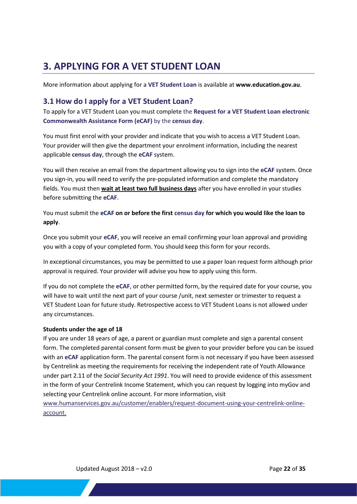## <span id="page-21-0"></span>**3. APPLYING FOR A VET STUDENT LOAN**

More information about applying for a **VET Student Loan** is available at **<www.education.gov.au>**[.](www.education.gov.au)

#### <span id="page-21-1"></span>**3.1 How do I apply for a VET Student Loan?**

To apply for a VET Student Loan you must complete the **Request for a VET Student Loan electronic Commonwealth Assistance Form (eCAF)** by the **census day**.

You must first enrol with your provider and indicate that you wish to access a VET Student Loan. Your provider will then give the department your enrolment information, including the nearest applicable **census day**, through the **eCAF** system.

You will then receive an email from the department allowing you to sign into the **eCAF** system. Once you sign-in, you will need to verify the pre-populated information and complete the mandatory fields. You must then **wait at least two full business days** after you have enrolled in your studies before submitting the **eCAF**.

You must submit the **eCAF on or before the first census day for which you would like the loan to apply**.

Once you submit your **eCAF**, you will receive an email confirming your loan approval and providing you with a copy of your completed form. You should keep this form for your records.

In exceptional circumstances, you may be permitted to use a paper loan request form although prior approval is required. Your provider will advise you how to apply using this form.

If you do not complete the **eCAF**, or other permitted form, by the required date for your course, you will have to wait until the next part of your course /unit, next semester or trimester to request a VET Student Loan for future study. Retrospective access to VET Student Loans is not allowed under any circumstances.

#### <span id="page-21-2"></span>**Students under the age of 18**

If you are under 18 years of age, a parent or guardian must complete and sign a parental consent form. The completed parental consent form must be given to your provider before you can be issued with an **eCAF** application form. The parental consent form is not necessary if you have been assessed by Centrelink as meeting the requirements for receiving the independent rate of Youth Allowance under part 2.11 of the *Social Security Act 1991*. You will need to provide evidence of this assessment in the form of your Centrelink Income Statement, which you can request by logging into myGov and selecting your Centrelink online account. For more information, visit

[www.humanservices.gov.au/customer/enablers/request-document-using-your-centrelink-online](http://www.humanservices.gov.au/customer/enablers/request-document-using-your-centrelink-online-account)[account.](http://www.humanservices.gov.au/customer/enablers/request-document-using-your-centrelink-online-account)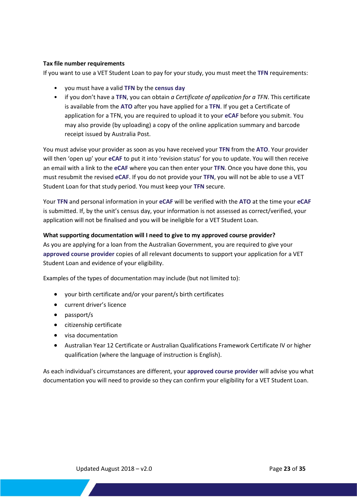#### <span id="page-22-0"></span>**Tax file number requirements**

If you want to use a VET Student Loan to pay for your study, you must meet the **TFN** requirements:

- you must have a valid **TFN** by the **census day**
- if you don't have a **TFN**, you can obtain *a Certificate of application for a TFN*. This certificate is available from the **ATO** after you have applied for a **TFN**. If you get a Certificate of application for a TFN, you are required to upload it to your **eCAF** before you submit. You may also provide (by uploading) a copy of the online application summary and barcode receipt issued by Australia Post.

You must advise your provider as soon as you have received your **TFN** from the **ATO**. Your provider will then 'open up' your **eCAF** to put it into 'revision status' for you to update. You will then receive an email with a link to the **eCAF** where you can then enter your **TFN**. Once you have done this, you must resubmit the revised **eCAF**. If you do not provide your **TFN**, you will not be able to use a VET Student Loan for that study period. You must keep your **TFN** secure.

Your **TFN** and personal information in your **eCAF** will be verified with the **ATO** at the time your **eCAF** is submitted. If, by the unit's census day, your information is not assessed as correct/verified, your application will not be finalised and you will be ineligible for a VET Student Loan.

#### <span id="page-22-1"></span>**What supporting documentation will I need to give to my approved course provider?**

As you are applying for a loan from the Australian Government, you are required to give your **approved course provider** copies of all relevant documents to support your application for a VET Student Loan and evidence of your eligibility.

Examples of the types of documentation may include (but not limited to):

- your birth certificate and/or your parent/s birth certificates
- **•** current driver's licence
- passport/s
- **•** citizenship certificate
- visa documentation
- Australian Year 12 Certificate or Australian Qualifications Framework Certificate IV or higher qualification (where the language of instruction is English).

As each individual's circumstances are different, your **approved course provider** will advise you what documentation you will need to provide so they can confirm your eligibility for a VET Student Loan.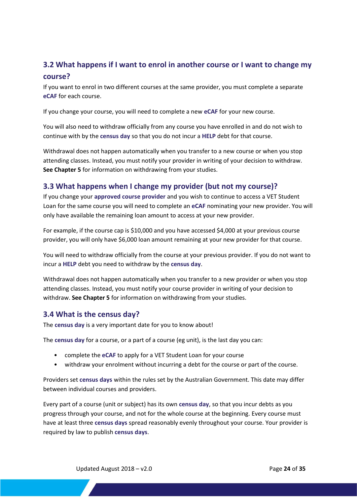#### <span id="page-23-0"></span>**3.2 What happens if I want to enrol in another course or I want to change my course?**

If you want to enrol in two different courses at the same provider, you must complete a separate **eCAF** for each course.

If you change your course, you will need to complete a new **eCAF** for your new course.

You will also need to withdraw officially from any course you have enrolled in and do not wish to continue with by the **census day** so that you do not incur a **HELP** debt for that course.

Withdrawal does not happen automatically when you transfer to a new course or when you stop attending classes. Instead, you must notify your provider in writing of your decision to withdraw. **See Chapter 5** for information on withdrawing from your studies.

#### <span id="page-23-1"></span>**3.3 What happens when I change my provider (but not my course)?**

If you change your **approved course provider** and you wish to continue to access a VET Student Loan for the same course you will need to complete an **eCAF** nominating your new provider. You will only have available the remaining loan amount to access at your new provider.

For example, if the course cap is \$10,000 and you have accessed \$4,000 at your previous course provider, you will only have \$6,000 loan amount remaining at your new provider for that course.

You will need to withdraw officially from the course at your previous provider. If you do not want to incur a **HELP** debt you need to withdraw by the **census day**.

Withdrawal does not happen automatically when you transfer to a new provider or when you stop attending classes. Instead, you must notify your course provider in writing of your decision to withdraw. **See Chapter 5** for information on withdrawing from your studies.

#### <span id="page-23-2"></span>**3.4 What is the census day?**

The **census day** is a very important date for you to know about!

The **census day** for a course, or a part of a course (eg unit), is the last day you can:

- complete the **eCAF** to apply for a VET Student Loan for your course
- withdraw your enrolment without incurring a debt for the course or part of the course.

Providers set **census days** within the rules set by the Australian Government. This date may differ between individual courses and providers.

Every part of a course (unit or subject) has its own **census day**, so that you incur debts as you progress through your course, and not for the whole course at the beginning. Every course must have at least three **census days** spread reasonably evenly throughout your course. Your provider is required by law to publish **census days**.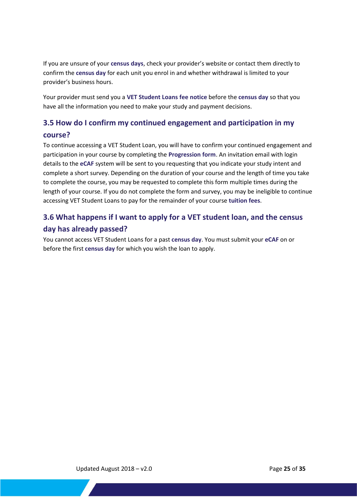If you are unsure of your **census days**, check your provider's website or contact them directly to confirm the **census day** for each unit you enrol in and whether withdrawal is limited to your provider's business hours.

Your provider must send you a **VET Student Loans fee notice** before the **census day** so that you have all the information you need to make your study and payment decisions.

#### <span id="page-24-0"></span>**3.5 How do I confirm my continued engagement and participation in my course?**

To continue accessing a VET Student Loan, you will have to confirm your continued engagement and participation in your course by completing the **Progression form**. An invitation email with login details to the **eCAF** system will be sent to you requesting that you indicate your study intent and complete a short survey. Depending on the duration of your course and the length of time you take to complete the course, you may be requested to complete this form multiple times during the length of your course. If you do not complete the form and survey, you may be ineligible to continue accessing VET Student Loans to pay for the remainder of your course **tuition fees**.

## <span id="page-24-1"></span>**3.6 What happens if I want to apply for a VET student loan, and the census day has already passed?**

You cannot access VET Student Loans for a past **census day**. You must submit your **eCAF** on or before the first **census day** for which you wish the loan to apply.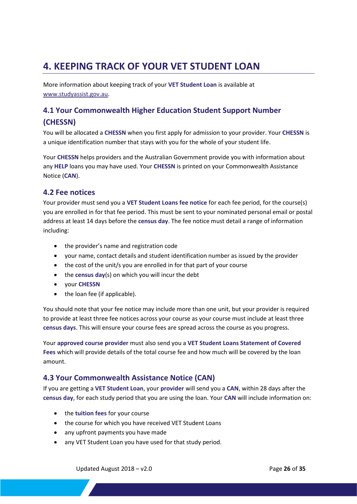## <span id="page-25-0"></span>**4. KEEPING TRACK OF YOUR VET STUDENT LOAN**

More information about keeping track of your **VET Student Loan** is available at [www.studyassist.gov.au.](http://www.studyassist.gov.au/)

## <span id="page-25-1"></span>**4.1 Your Commonwealth Higher Education Student Support Number (CHESSN)**

You will be allocated a **CHESSN** when you first apply for admission to your provider. Your **CHESSN** is a unique identification number that stays with you for the whole of your student life.

Your **CHESSN** helps providers and the Australian Government provide you with information about any **HELP** loans you may have used. Your **CHESSN** is printed on your Commonwealth Assistance Notice (**CAN**).

#### <span id="page-25-2"></span>**4.2 Fee notices**

Your provider must send you a **VET Student Loans fee notice** for each fee period, for the course(s) you are enrolled in for that fee period. This must be sent to your nominated personal email or postal address at least 14 days before the **census day**. The fee notice must detail a range of information including:

- the provider's name and registration code
- your name, contact details and student identification number as issued by the provider
- the cost of the unit/s you are enrolled in for that part of your course
- the **census day**(s) on which you will incur the debt
- your **CHESSN**
- the loan fee (if applicable).

You should note that your fee notice may include more than one unit, but your provider is required to provide at least three fee notices across your course as your course must include at least three **census days**. This will ensure your course fees are spread across the course as you progress.

Your **approved course provider** must also send you a **VET Student Loans Statement of Covered Fees** which will provide details of the total course fee and how much will be covered by the loan amount.

#### <span id="page-25-3"></span>**4.3 Your Commonwealth Assistance Notice (CAN)**

If you are getting a **VET Student Loan**, your **provider** will send you a **CAN**, within 28 days after the **census day**, for each study period that you are using the loan. Your **CAN** will include information on:

- the **tuition fees** for your course
- the course for which you have received VET Student Loans
- any upfront payments you have made
- any VET Student Loan you have used for that study period.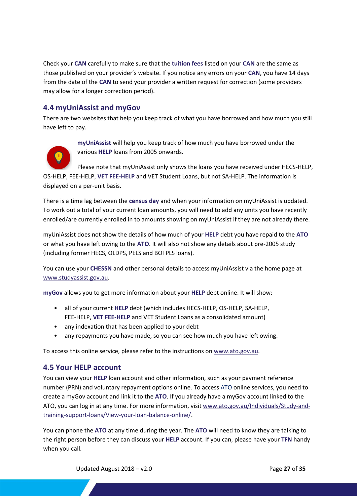Check your **CAN** carefully to make sure that the **tuition fees** listed on your **CAN** are the same as those published on your provider's website. If you notice any errors on your **CAN**, you have 14 days from the date of the **CAN** to send your provider a written request for correction (some providers may allow for a longer correction period).

#### <span id="page-26-0"></span>**4.4 myUniAssist and myGov**

There are two websites that help you keep track of what you have borrowed and how much you still have left to pay.



<span id="page-26-1"></span>**myUniAssist** will help you keep track of how much you have borrowed under the various **HELP** loans from 2005 onwards.

Please note that myUniAssist only shows the loans you have received under HECS-HELP, OS-HELP, FEE-HELP, **VET FEE-HELP** and VET Student Loans, but not SA-HELP. The information is displayed on a per-unit basis.

There is a time lag between the **census day** and when your information on myUniAssist is updated. To work out a total of your current loan amounts, you will need to add any units you have recently enrolled/are currently enrolled in to amounts showing on myUniAssist if they are not already there.

myUniAssist does not show the details of how much of your **HELP** debt you have repaid to the **ATO** or what you have left owing to the **ATO**. It will also not show any details about pre-2005 study (including former HECS, OLDPS, PELS and BOTPLS loans).

You can use your **CHESSN** and other personal details to access myUniAssist via the home page at [www.studyassist.gov.au.](http://www.studyassist.gov.au/)

**myGov** allows you to get more information about your **HELP** debt online. It will show:

- all of your current **HELP** debt (which includes HECS-HELP, OS-HELP, SA-HELP, FEE-HELP, **VET FEE-HELP** and VET Student Loans as a consolidated amount)
- any indexation that has been applied to your debt
- any repayments you have made, so you can see how much you have left owing.

To access this online service, please refer to the instructions o[n www.ato.gov.au.](http://www.ato.gov.au/)

#### <span id="page-26-2"></span>**4.5 Your HELP account**

You can view your **HELP** loan account and other information, such as your payment reference number (PRN) and voluntary repayment options online. To access ATO online services, you need to create a myGov account and link it to the **ATO**. If you already have a myGov account linked to the ATO, you can log in at any time. For more information, visi[t www.ato.gov.au/Individuals/Study-and](http://www.ato.gov.au/Individuals/Study-and-training-support-loans/View-your-loan-balance-online/)[training-support-loans/View-your-loan-balance-online/.](http://www.ato.gov.au/Individuals/Study-and-training-support-loans/View-your-loan-balance-online/)

You can phone the **ATO** at any time during the year. The **ATO** will need to know they are talking to the right person before they can discuss your **HELP** account. If you can, please have your **TFN** handy when you call.

Updated August 2018 – v2.0 Page **27** of **35** 27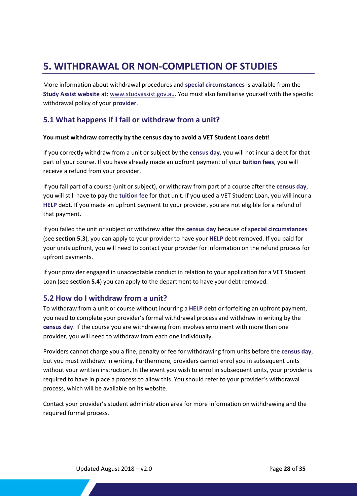## <span id="page-27-0"></span>**5. WITHDRAWAL OR NON-COMPLETION OF STUDIES**

More information about withdrawal procedures and **special circumstances** is available from the **Study Assist website** at: [www.studyassist.gov.au. Y](http://www.studyassist.gov.au/)ou must also familiarise yourself with the specific withdrawal policy of your **provider**.

#### <span id="page-27-1"></span>**5.1 What happens if I fail or withdraw from a unit?**

#### **You must withdraw correctly by the census day to avoid a VET Student Loans debt!**

If you correctly withdraw from a unit or subject by the **census day**, you will not incur a debt for that part of your course. If you have already made an upfront payment of your **tuition fees**, you will receive a refund from your provider.

If you fail part of a course (unit or subject), or withdraw from part of a course after the **census day**, you will still have to pay the **tuition fee** for that unit. If you used a VET Student Loan, you will incur a **HELP** debt. If you made an upfront payment to your provider, you are not eligible for a refund of that payment.

If you failed the unit or subject or withdrew after the **census day** because of **special circumstances** (see **section 5.3**), you can apply to your provider to have your **HELP** debt removed. If you paid for your units upfront, you will need to contact your provider for information on the refund process for upfront payments.

If your provider engaged in unacceptable conduct in relation to your application for a VET Student Loan (see **section 5.4**) you can apply to the department to have your debt removed.

#### <span id="page-27-2"></span>**5.2 How do I withdraw from a unit?**

To withdraw from a unit or course without incurring a **HELP** debt or forfeiting an upfront payment, you need to complete your provider's formal withdrawal process and withdraw in writing by the **census day**. If the course you are withdrawing from involves enrolment with more than one provider, you will need to withdraw from each one individually.

Providers cannot charge you a fine, penalty or fee for withdrawing from units before the **census day**, but you must withdraw in writing. Furthermore, providers cannot enrol you in subsequent units without your written instruction. In the event you wish to enrol in subsequent units, your provider is required to have in place a process to allow this. You should refer to your provider's withdrawal process, which will be available on its website.

Contact your provider's student administration area for more information on withdrawing and the required formal process.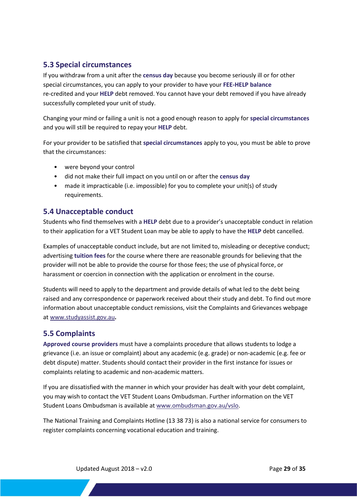#### <span id="page-28-0"></span>**5.3 Special circumstances**

If you withdraw from a unit after the **census day** because you become seriously ill or for other special circumstances, you can apply to your provider to have your **FEE-HELP balance** re-credited and your **HELP** debt removed. You cannot have your debt removed if you have already successfully completed your unit of study.

Changing your mind or failing a unit is not a good enough reason to apply for **special circumstances** and you will still be required to repay your **HELP** debt.

For your provider to be satisfied that **special circumstances** apply to you, you must be able to prove that the circumstances:

- were beyond your control
- did not make their full impact on you until on or after the **census day**
- made it impracticable (i.e. impossible) for you to complete your unit(s) of study requirements.

#### <span id="page-28-1"></span>**5.4 Unacceptable conduct**

Students who find themselves with a **HELP** debt due to a provider's unacceptable conduct in relation to their application for a VET Student Loan may be able to apply to have the **HELP** debt cancelled.

Examples of unacceptable conduct include, but are not limited to, misleading or deceptive conduct; advertising **tuition fees** for the course where there are reasonable grounds for believing that the provider will not be able to provide the course for those fees; the use of physical force, or harassment or coercion in connection with the application or enrolment in the course.

Students will need to apply to the department and provide details of what led to the debt being raised and any correspondence or paperwork received about their study and debt. To find out more information about unacceptable conduct remissions, visit the Complaints and Grievances webpage a[t www.studyassist.gov.au](http://www.studyassist.gov.au/)**.**

#### <span id="page-28-2"></span>**5.5 Complaints**

**Approved course providers** must have a complaints procedure that allows students to lodge a grievance (i.e. an issue or complaint) about any academic (e.g. grade) or non-academic (e.g. fee or debt dispute) matter. Students should contact their provider in the first instance for issues or complaints relating to academic and non-academic matters.

If you are dissatisfied with the manner in which your provider has dealt with your debt complaint, you may wish to contact the VET Student Loans Ombudsman. Further information on the VET Student Loans Ombudsman is available at [www.ombudsman.gov.au/vslo.](http://www.ombudsman.gov.au/vslo)

The National Training and Complaints Hotline (13 38 73) is also a national service for consumers to register complaints concerning vocational education and training.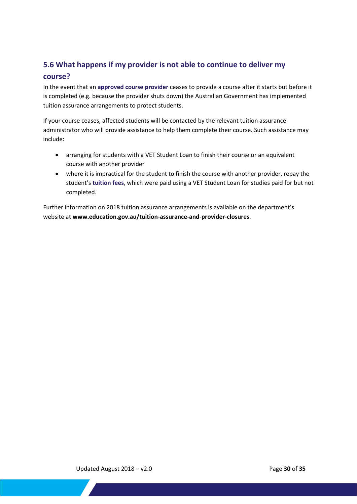# <span id="page-29-0"></span>**5.6 What happens if my provider is not able to continue to deliver my**

#### **course?**

In the event that an **approved course provider** ceases to provide a course after it starts but before it is completed (e.g. because the provider shuts down) the Australian Government has implemented tuition assurance arrangements to protect students.

If your course ceases, affected students will be contacted by the relevant tuition assurance administrator who will provide assistance to help them complete their course. Such assistance may include:

- arranging for students with a VET Student Loan to finish their course or an equivalent course with another provider
- where it is impractical for the student to finish the course with another provider, repay the student's **tuition fees**, which were paid using a VET Student Loan for studies paid for but not completed.

Further information on 2018 tuition assurance arrangements is available on the department's website at **[www.education.gov.au/tuition-assurance-and-provider-closures](http://www.education.gov.au/tuition-assurance-and-provider-closures)**.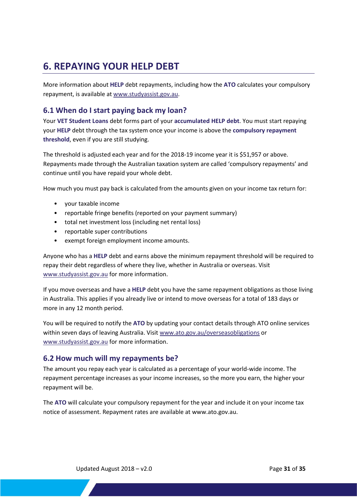## <span id="page-30-0"></span>**6. REPAYING YOUR HELP DEBT**

More information about **HELP** debt repayments, including how the **ATO** calculates your compulsory repayment, is available at [www.studyassist.gov.au.](http://www.studyassist.gov.au/)

#### <span id="page-30-1"></span>**6.1 When do I start paying back my loan?**

Your **VET Student Loans** debt forms part of your **accumulated HELP debt**. You must start repaying your **HELP** debt through the tax system once your income is above the **compulsory repayment threshold**, even if you are still studying.

The threshold is adjusted each year and for the 2018-19 income year it is \$51,957 or above. Repayments made through the Australian taxation system are called 'compulsory repayments' and continue until you have repaid your whole debt.

How much you must pay back is calculated from the amounts given on your income tax return for:

- your taxable income
- reportable fringe benefits (reported on your payment summary)
- total net investment loss (including net rental loss)
- reportable super contributions
- exempt foreign employment income amounts.

Anyone who has a **HELP** debt and earns above the minimum repayment threshold will be required to repay their debt regardless of where they live, whether in Australia or overseas. Visit [www.studyassist.gov.au](http://www.studyassist.gov.au/) for more information.

If you move overseas and have a **HELP** debt you have the same repayment obligations as those living in Australia. This applies if you already live or intend to move overseas for a total of 183 days or more in any 12 month period.

You will be required to notify the **ATO** by updating your contact details through ATO online services within seven days of leaving Australia. Visit [www.ato.gov.au/overseasobligations](http://www.ato.gov.au/overseasobligations) or [www.studyassist.gov.au](http://www.studyassist.gov.au/) for more information.

#### <span id="page-30-2"></span>**6.2 How much will my repayments be?**

The amount you repay each year is calculated as a percentage of your world-wide income. The repayment percentage increases as your income increases, so the more you earn, the higher your repayment will be.

The **ATO** will calculate your compulsory repayment for the year and include it on your income tax notice of assessment. Repayment rates are available at www.ato.gov.au.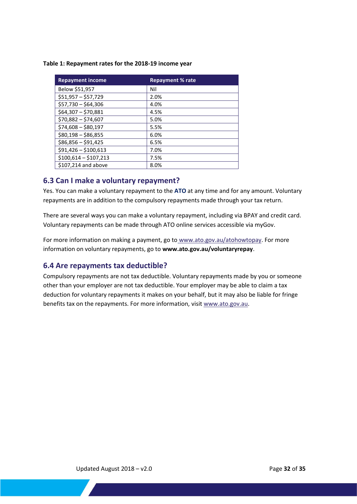#### **Table 1: Repayment rates for the 2018-19 income year**

| <b>Repayment income</b> | <b>Repayment % rate</b> |
|-------------------------|-------------------------|
| Below \$51,957          | Nil                     |
| $$51,957 - $57,729$     | 2.0%                    |
| $$57,730 - $64,306$     | 4.0%                    |
| $$64,307 - $70,881$     | 4.5%                    |
| $$70,882 - $74,607$     | 5.0%                    |
| $$74,608 - $80,197$     | 5.5%                    |
| $$80,198 - $86,855$     | 6.0%                    |
| $$86,856 - $91,425$     | 6.5%                    |
| $$91,426 - $100,613$    | 7.0%                    |
| $$100,614 - $107,213$   | 7.5%                    |
| \$107,214 and above     | 8.0%                    |

#### <span id="page-31-0"></span>**6.3 Can I make a voluntary repayment?**

Yes. You can make a voluntary repayment to the **ATO** at any time and for any amount. Voluntary repayments are in addition to the compulsory repayments made through your tax return.

There are several ways you can make a voluntary repayment, including via BPAY and credit card. Voluntary repayments can be made through ATO online services accessible via myGov.

For more information on making a payment, go to [www.ato.gov.au/atohowtopay.](http://www.ato.gov.au/atohowtopay) For more information on voluntary repayments, go to **[www.ato.gov.au/voluntaryrepay](http://www.ato.gov.au/voluntaryrepay)**.

#### <span id="page-31-1"></span>**6.4 Are repayments tax deductible?**

Compulsory repayments are not tax deductible. Voluntary repayments made by you or someone other than your employer are not tax deductible. Your employer may be able to claim a tax deduction for voluntary repayments it makes on your behalf, but it may also be liable for fringe benefits tax on the repayments. For more information, visi[t www.ato.gov.au.](https://www.ato.gov.au/)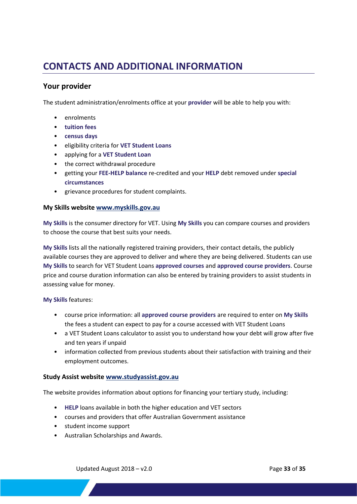## <span id="page-32-0"></span>**CONTACTS AND ADDITIONAL INFORMATION**

#### **Your provider**

The student administration/enrolments office at your **provider** will be able to help you with:

- enrolments
- **tuition fees**
- **census days**
- eligibility criteria for **VET Student Loans**
- applying for a **VET Student Loan**
- the correct withdrawal procedure
- getting your **FEE-HELP balance** re-credited and your **HELP** debt removed under **special circumstances**
- grievance procedures for student complaints.

#### **My Skills website [www.myskills.gov.au](http://www.myskills.gov.au/)**

**My Skills** is the consumer directory for VET. Using **My Skills** you can compare courses and providers to choose the course that best suits your needs.

**My Skills** lists all the nationally registered training providers, their contact details, the publicly available courses they are approved to deliver and where they are being delivered. Students can use **My Skills** to search for VET Student Loans **approved courses** and **approved course providers**. Course price and course duration information can also be entered by training providers to assist students in assessing value for money.

**My Skills** features:

- course price information: all **approved course providers** are required to enter on **My Skills** the fees a student can expect to pay for a course accessed with VET Student Loans
- a VET Student Loans calculator to assist you to understand how your debt will grow after five and ten years if unpaid
- information collected from previous students about their satisfaction with training and their employment outcomes.

#### **Study Assist website [www.studyassist.gov.au](http://www.studyassist.gov.au/)**

The website provides information about options for financing your tertiary study, including:

- **HELP** loans available in both the higher education and VET sectors
- courses and providers that offer Australian Government assistance
- student income support
- Australian Scholarships and Awards.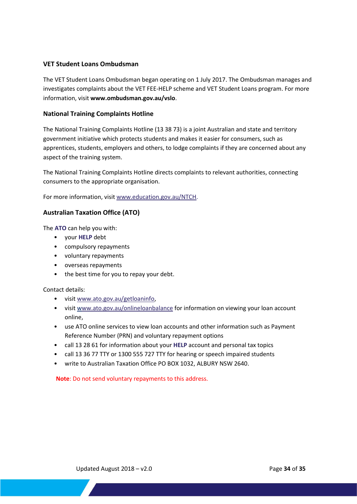#### **VET Student Loans Ombudsman**

The VET Student Loans Ombudsman began operating on 1 July 2017. The Ombudsman manages and investigates complaints about the VET FEE-HELP scheme and VET Student Loans program. For more information, visit **[www.ombudsman.gov.au/vslo](http://www.ombudsman.gov.au/vslo)**.

#### **National Training Complaints Hotline**

The National Training Complaints Hotline (13 38 73) is a joint Australian and state and territory government initiative which protects students and makes it easier for consumers, such as apprentices, students, employers and others, to lodge complaints if they are concerned about any aspect of the training system.

The National Training Complaints Hotline directs complaints to relevant authorities, connecting consumers to the appropriate organisation.

For more information, visi[t www.education.gov.au/NTCH.](http://www.education.gov.au/NTCH)

#### **Australian Taxation Office (ATO)**

The **ATO** can help you with:

- your **HELP** debt
- compulsory repayments
- voluntary repayments
- overseas repayments
- the best time for you to repay your debt.

Contact details:

- visi[t www.ato.gov.au/getloaninfo,](http://www.ato.gov.au/getloaninfo)
- visi[t www.ato.gov.au/onlineloanbalance](http://www.ato.gov.au/onlineloanbalance) for information on viewing your loan account online,
- use [ATO online services](https://www.ato.gov.au/individuals/study-and-training-support-loans/view-your-loan-balance-online/) to view loan accounts and other information such as Payment Reference Number (PRN) and voluntary repayment options
- call 13 28 61 for information about your **HELP** account and personal tax topics
- call 13 36 77 TTY or 1300 555 727 TTY for hearing or speech impaired students
- write to Australian Taxation Office PO BOX 1032, ALBURY NSW 2640.

**Note**: Do not send voluntary repayments to this address.